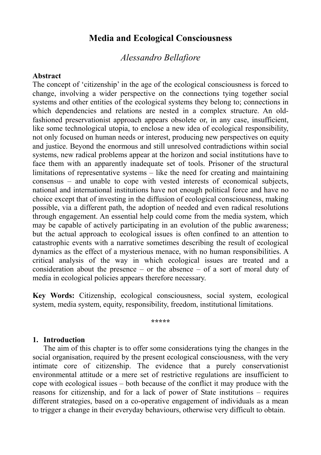## **Media and Ecological Consciousness**

## *Alessandro Bellafiore*

#### **Abstract**

The concept of 'citizenship' in the age of the ecological consciousness is forced to change, involving a wider perspective on the connections tying together social systems and other entities of the ecological systems they belong to; connections in which dependencies and relations are nested in a complex structure. An oldfashioned preservationist approach appears obsolete or, in any case, insufficient, like some technological utopia, to enclose a new idea of ecological responsibility, not only focused on human needs or interest, producing new perspectives on equity and justice. Beyond the enormous and still unresolved contradictions within social systems, new radical problems appear at the horizon and social institutions have to face them with an apparently inadequate set of tools. Prisoner of the structural limitations of representative systems – like the need for creating and maintaining consensus – and unable to cope with vested interests of economical subjects, national and international institutions have not enough political force and have no choice except that of investing in the diffusion of ecological consciousness, making possible, via a different path, the adoption of needed and even radical resolutions through engagement. An essential help could come from the media system, which may be capable of actively participating in an evolution of the public awareness; but the actual approach to ecological issues is often confined to an attention to catastrophic events with a narrative sometimes describing the result of ecological dynamics as the effect of a mysterious menace, with no human responsibilities. A critical analysis of the way in which ecological issues are treated and a consideration about the presence – or the absence – of a sort of moral duty of media in ecological policies appears therefore necessary.

**Key Words:** Citizenship, ecological consciousness, social system, ecological system, media system, equity, responsibility, freedom, institutional limitations.

**\*\*\*\*\*** 

#### **1. Introduction**

The aim of this chapter is to offer some considerations tying the changes in the social organisation, required by the present ecological consciousness, with the very intimate core of citizenship. The evidence that a purely conservationist environmental attitude or a mere set of restrictive regulations are insufficient to cope with ecological issues – both because of the conflict it may produce with the reasons for citizenship, and for a lack of power of State institutions – requires different strategies, based on a co-operative engagement of individuals as a mean to trigger a change in their everyday behaviours, otherwise very difficult to obtain.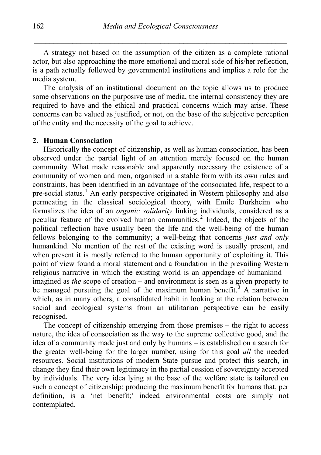A strategy not based on the assumption of the citizen as a complete rational actor, but also approaching the more emotional and moral side of his/her reflection, is a path actually followed by governmental institutions and implies a role for the media system.

The analysis of an institutional document on the topic allows us to produce some observations on the purposive use of media, the internal consistency they are required to have and the ethical and practical concerns which may arise. These concerns can be valued as justified, or not, on the base of the subjective perception of the entity and the necessity of the goal to achieve.

#### **2. Human Consociation**

Historically the concept of citizenship, as well as human consociation, has been observed under the partial light of an attention merely focused on the human community. What made reasonable and apparently necessary the existence of a community of women and men, organised in a stable form with its own rules and constraints, has been identified in an advantage of the consociated life, respect to a pre-social status.<sup>1</sup> An early perspective originated in Western philosophy and also permeating in the classical sociological theory, with Emile Durkheim who formalizes the idea of an *organic solidarity* linking individuals, considered as a peculiar feature of the evolved human communities.<sup>2</sup> Indeed, the objects of the political reflection have usually been the life and the well-being of the human fellows belonging to the community; a well-being that concerns *just and only* humankind. No mention of the rest of the existing word is usually present, and when present it is mostly referred to the human opportunity of exploiting it. This point of view found a moral statement and a foundation in the prevailing Western religious narrative in which the existing world is an appendage of humankind – imagined as *the* scope of creation – and environment is seen as a given property to be managed pursuing the goal of the maximum human benefit.<sup>3</sup> A narrative in which, as in many others, a consolidated habit in looking at the relation between social and ecological systems from an utilitarian perspective can be easily recognised.

The concept of citizenship emerging from those premises – the right to access nature, the idea of consociation as the way to the supreme collective good, and the idea of a community made just and only by humans – is established on a search for the greater well-being for the larger number, using for this goal *all* the needed resources. Social institutions of modern State pursue and protect this search, in change they find their own legitimacy in the partial cession of sovereignty accepted by individuals. The very idea lying at the base of the welfare state is tailored on such a concept of citizenship: producing the maximum benefit for humans that, per definition, is a 'net benefit;' indeed environmental costs are simply not contemplated.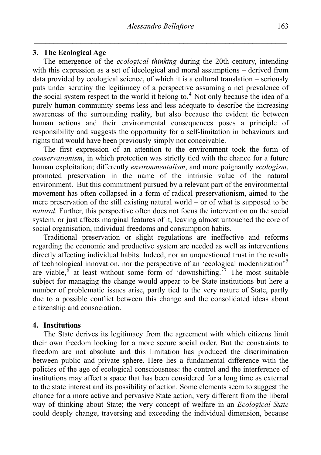### **3. The Ecological Age**

The emergence of the *ecological thinking* during the 20th century, intending with this expression as a set of ideological and moral assumptions – derived from data provided by ecological science, of which it is a cultural translation – seriously puts under scrutiny the legitimacy of a perspective assuming a net prevalence of the social system respect to the world it belong to.<sup>4</sup> Not only because the idea of a purely human community seems less and less adequate to describe the increasing awareness of the surrounding reality, but also because the evident tie between human actions and their environmental consequences poses a principle of responsibility and suggests the opportunity for a self-limitation in behaviours and rights that would have been previously simply not conceivable.

The first expression of an attention to the environment took the form of *conservationism*, in which protection was strictly tied with the chance for a future human exploitation; differently *environmentalism*, and more poignantly *ecologism*, promoted preservation in the name of the intrinsic value of the natural environment. But this commitment pursued by a relevant part of the environmental movement has often collapsed in a form of radical preservationism, aimed to the mere preservation of the still existing natural world – or of what is supposed to be *natural.* Further, this perspective often does not focus the intervention on the social system, or just affects marginal features of it, leaving almost untouched the core of social organisation, individual freedoms and consumption habits.

Traditional preservation or slight regulations are ineffective and reforms regarding the economic and productive system are needed as well as interventions directly affecting individual habits. Indeed, nor an unquestioned trust in the results of technological innovation, nor the perspective of an 'ecological modernization'<sup>5</sup> are viable,  $\delta$  at least without some form of 'downshifting.<sup>57</sup> The most suitable subject for managing the change would appear to be State institutions but here a number of problematic issues arise, partly tied to the very nature of State, partly due to a possible conflict between this change and the consolidated ideas about citizenship and consociation.

#### **4. Institutions**

The State derives its legitimacy from the agreement with which citizens limit their own freedom looking for a more secure social order. But the constraints to freedom are not absolute and this limitation has produced the discrimination between public and private sphere. Here lies a fundamental difference with the policies of the age of ecological consciousness: the control and the interference of institutions may affect a space that has been considered for a long time as external to the state interest and its possibility of action. Some elements seem to suggest the chance for a more active and pervasive State action, very different from the liberal way of thinking about State; the very concept of welfare in an *Ecological State* could deeply change, traversing and exceeding the individual dimension, because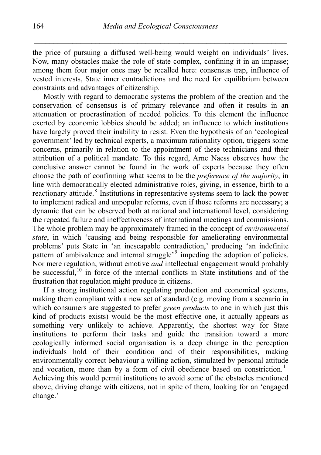the price of pursuing a diffused well-being would weight on individuals' lives. Now, many obstacles make the role of state complex, confining it in an impasse; among them four major ones may be recalled here: consensus trap, influence of vested interests, State inner contradictions and the need for equilibrium between constraints and advantages of citizenship.

Mostly with regard to democratic systems the problem of the creation and the conservation of consensus is of primary relevance and often it results in an attenuation or procrastination of needed policies. To this element the influence exerted by economic lobbies should be added; an influence to which institutions have largely proved their inability to resist. Even the hypothesis of an 'ecological government' led by technical experts, a maximum rationality option, triggers some concerns, primarily in relation to the appointment of these technicians and their attribution of a political mandate. To this regard, Arne Naess observes how the conclusive answer cannot be found in the work of experts because they often choose the path of confirming what seems to be the *preference of the majority*, in line with democratically elected administrative roles, giving, in essence, birth to a reactionary attitude.<sup>8</sup> Institutions in representative systems seem to lack the power to implement radical and unpopular reforms, even if those reforms are necessary; a dynamic that can be observed both at national and international level, considering the repeated failure and ineffectiveness of international meetings and commissions. The whole problem may be approximately framed in the concept of *environmental state*, in which 'causing and being responsible for ameliorating environmental problems' puts State in 'an inescapable contradiction,' producing 'an indefinite pattern of ambivalence and internal struggle<sup>, 9</sup> impeding the adoption of policies. Nor mere regulation, without emotive *and* intellectual engagement would probably be successful, $10$  in force of the internal conflicts in State institutions and of the frustration that regulation might produce in citizens.

If a strong institutional action regulating production and economical systems, making them compliant with a new set of standard (e.g. moving from a scenario in which consumers are suggested to prefer *green products* to one in which just this kind of products exists) would be the most effective one, it actually appears as something very unlikely to achieve. Apparently, the shortest way for State institutions to perform their tasks and guide the transition toward a more ecologically informed social organisation is a deep change in the perception individuals hold of their condition and of their responsibilities, making environmentally correct behaviour a willing action, stimulated by personal attitude and vocation, more than by a form of civil obedience based on constriction.<sup>11</sup> Achieving this would permit institutions to avoid some of the obstacles mentioned above, driving change with citizens, not in spite of them, looking for an 'engaged change.'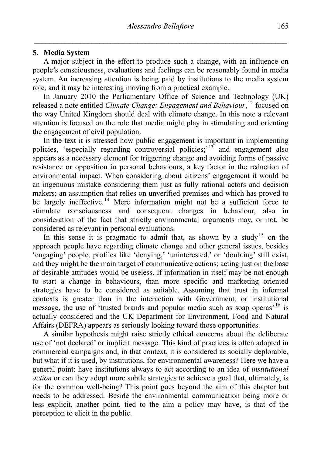#### **5. Media System**

A major subject in the effort to produce such a change, with an influence on people's consciousness, evaluations and feelings can be reasonably found in media system. An increasing attention is being paid by institutions to the media system role, and it may be interesting moving from a practical example.

In January 2010 the Parliamentary Office of Science and Technology (UK) released a note entitled *Climate Change: Engagement and Behaviour*, 12 focused on the way United Kingdom should deal with climate change. In this note a relevant attention is focused on the role that media might play in stimulating and orienting the engagement of civil population.

In the text it is stressed how public engagement is important in implementing policies, 'especially regarding controversial policies;'<sup>13</sup> and engagement also appears as a necessary element for triggering change and avoiding forms of passive resistance or opposition in personal behaviours, a key factor in the reduction of environmental impact. When considering about citizens' engagement it would be an ingenuous mistake considering them just as fully rational actors and decision makers; an assumption that relies on unverified premises and which has proved to be largely ineffective.<sup>14</sup> Mere information might not be a sufficient force to stimulate consciousness and consequent changes in behaviour, also in consideration of the fact that strictly environmental arguments may, or not, be considered as relevant in personal evaluations.

In this sense it is pragmatic to admit that, as shown by a study<sup>15</sup> on the approach people have regarding climate change and other general issues, besides 'engaging' people, profiles like 'denying,' 'uninterested,' or 'doubting' still exist, and they might be the main target of communicative actions; acting just on the base of desirable attitudes would be useless. If information in itself may be not enough to start a change in behaviours, than more specific and marketing oriented strategies have to be considered as suitable. Assuming that trust in informal contexts is greater than in the interaction with Government, or institutional message, the use of 'trusted brands and popular media such as soap operas'<sup>16</sup> is actually considered and the UK Department for Environment, Food and Natural Affairs (DEFRA) appears as seriously looking toward those opportunities.

A similar hypothesis might raise strictly ethical concerns about the deliberate use of 'not declared' or implicit message. This kind of practices is often adopted in commercial campaigns and, in that context, it is considered as socially deplorable, but what if it is used, by institutions, for environmental awareness? Here we have a general point: have institutions always to act according to an idea of *institutional action* or can they adopt more subtle strategies to achieve a goal that, ultimately, is for the common well-being? This point goes beyond the aim of this chapter but needs to be addressed. Beside the environmental communication being more or less explicit, another point, tied to the aim a policy may have, is that of the perception to elicit in the public.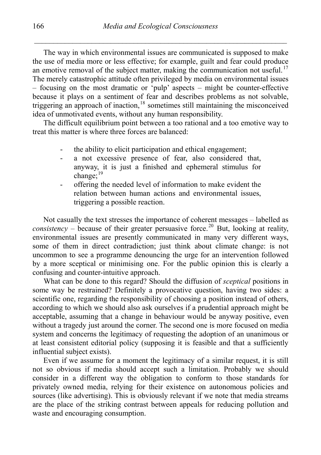The way in which environmental issues are communicated is supposed to make the use of media more or less effective; for example, guilt and fear could produce an emotive removal of the subject matter, making the communication not useful.<sup>17</sup> The merely catastrophic attitude often privileged by media on environmental issues – focusing on the most dramatic or 'pulp' aspects – might be counter-effective because it plays on a sentiment of fear and describes problems as not solvable, triggering an approach of inaction,<sup>18</sup> sometimes still maintaining the misconceived idea of unmotivated events, without any human responsibility.

The difficult equilibrium point between a too rational and a too emotive way to treat this matter is where three forces are balanced:

- the ability to elicit participation and ethical engagement;
- a not excessive presence of fear, also considered that, anyway, it is just a finished and ephemeral stimulus for change:<sup>19</sup>
- offering the needed level of information to make evident the relation between human actions and environmental issues, triggering a possible reaction.

Not casually the text stresses the importance of coherent messages – labelled as *consistency* – because of their greater persuasive force.<sup>20</sup> But, looking at reality, environmental issues are presently communicated in many very different ways, some of them in direct contradiction; just think about climate change: is not uncommon to see a programme denouncing the urge for an intervention followed by a more sceptical or minimising one. For the public opinion this is clearly a confusing and counter-intuitive approach.

 What can be done to this regard? Should the diffusion of *sceptical* positions in some way be restrained? Definitely a provocative question, having two sides: a scientific one, regarding the responsibility of choosing a position instead of others, according to which we should also ask ourselves if a prudential approach might be acceptable, assuming that a change in behaviour would be anyway positive, even without a tragedy just around the corner. The second one is more focused on media system and concerns the legitimacy of requesting the adoption of an unanimous or at least consistent editorial policy (supposing it is feasible and that a sufficiently influential subject exists).

Even if we assume for a moment the legitimacy of a similar request, it is still not so obvious if media should accept such a limitation. Probably we should consider in a different way the obligation to conform to those standards for privately owned media, relying for their existence on autonomous policies and sources (like advertising). This is obviously relevant if we note that media streams are the place of the striking contrast between appeals for reducing pollution and waste and encouraging consumption.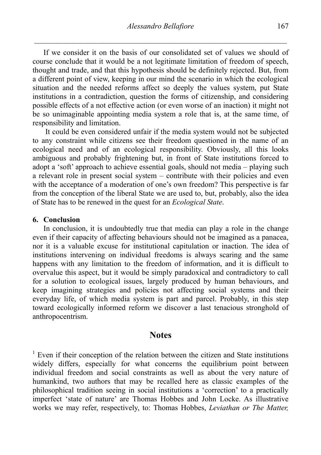If we consider it on the basis of our consolidated set of values we should of course conclude that it would be a not legitimate limitation of freedom of speech, thought and trade, and that this hypothesis should be definitely rejected. But, from a different point of view, keeping in our mind the scenario in which the ecological situation and the needed reforms affect so deeply the values system, put State institutions in a contradiction, question the forms of citizenship, and considering possible effects of a not effective action (or even worse of an inaction) it might not be so unimaginable appointing media system a role that is, at the same time, of responsibility and limitation.

 It could be even considered unfair if the media system would not be subjected to any constraint while citizens see their freedom questioned in the name of an ecological need and of an ecological responsibility. Obviously, all this looks ambiguous and probably frightening but, in front of State institutions forced to adopt a 'soft' approach to achieve essential goals, should not media – playing such a relevant role in present social system – contribute with their policies and even with the acceptance of a moderation of one's own freedom? This perspective is far from the conception of the liberal State we are used to, but, probably, also the idea of State has to be renewed in the quest for an *Ecological State*.

#### **6. Conclusion**

In conclusion, it is undoubtedly true that media can play a role in the change even if their capacity of affecting behaviours should not be imagined as a panacea, nor it is a valuable excuse for institutional capitulation or inaction. The idea of institutions intervening on individual freedoms is always scaring and the same happens with any limitation to the freedom of information, and it is difficult to overvalue this aspect, but it would be simply paradoxical and contradictory to call for a solution to ecological issues, largely produced by human behaviours, and keep imagining strategies and policies not affecting social systems and their everyday life, of which media system is part and parcel. Probably, in this step toward ecologically informed reform we discover a last tenacious stronghold of anthropocentrism.

#### **Notes**

 $1$  Even if their conception of the relation between the citizen and State institutions widely differs, especially for what concerns the equilibrium point between individual freedom and social constraints as well as about the very nature of humankind, two authors that may be recalled here as classic examples of the philosophical tradition seeing in social institutions a 'correction' to a practically imperfect 'state of nature' are Thomas Hobbes and John Locke. As illustrative works we may refer, respectively, to: Thomas Hobbes, *Leviathan or The Matter,*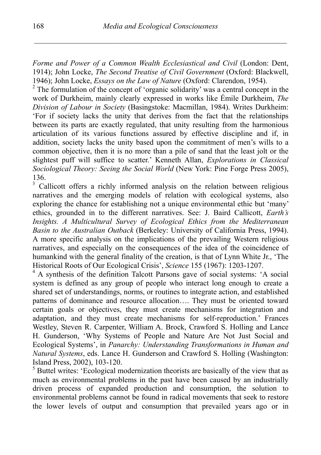*Forme and Power of a Common Wealth Ecclesiastical and Civil* (London: Dent, 1914); John Locke, *The Second Treatise of Civil Government* (Oxford: Blackwell, 1946); John Locke, *Essays on the Law of Nature* (Oxford: Clarendon, 1954). <sup>2</sup>

 $2$  The formulation of the concept of 'organic solidarity' was a central concept in the work of Durkheim, mainly clearly expressed in works like Émile Durkheim, *The Division of Labour in Society* (Basingstoke: Macmillan, 1984). Writes Durkheim: 'For if society lacks the unity that derives from the fact that the relationships between its parts are exactly regulated, that unity resulting from the harmonious articulation of its various functions assured by effective discipline and if, in addition, society lacks the unity based upon the commitment of men's wills to a common objective, then it is no more than a pile of sand that the least jolt or the slightest puff will suffice to scatter.' Kenneth Allan, *Explorations in Classical Sociological Theory: Seeing the Social World* (New York: Pine Forge Press 2005), 136.

<sup>3</sup> Callicott offers a richly informed analysis on the relation between religious narratives and the emerging models of relation with ecological systems, also exploring the chance for establishing not a unique environmental ethic but 'many' ethics, grounded in to the different narratives. See: J. Baird Callicott, *Earth's Insights. A Multicultural Survey of Ecological Ethics from the Mediterranean Basin to the Australian Outback* (Berkeley: University of California Press, 1994). A more specific analysis on the implications of the prevailing Western religious narratives, and especially on the consequences of the idea of the coincidence of humankind with the general finality of the creation, is that of Lynn White Jr., 'The Historical Roots of Our Ecological Crisis', *Science* 155 (1967): 1203-1207. 4

<sup>4</sup> A synthesis of the definition Talcott Parsons gave of social systems: 'A social system is defined as any group of people who interact long enough to create a shared set of understandings, norms, or routines to integrate action, and established patterns of dominance and resource allocation…. They must be oriented toward certain goals or objectives, they must create mechanisms for integration and adaptation, and they must create mechanisms for self-reproduction.' Frances Westley, Steven R. Carpenter, William A. Brock, Crawford S. Holling and Lance H. Gunderson, 'Why Systems of People and Nature Are Not Just Social and Ecological Systems', in *Panarchy: Understanding Transformations in Human and Natural Systems*, eds. Lance H. Gunderson and Crawford S. Holling (Washington: Island Press, 2002), 103-120.

<sup>5</sup> Buttel writes: 'Ecological modernization theorists are basically of the view that as much as environmental problems in the past have been caused by an industrially driven process of expanded production and consumption, the solution to environmental problems cannot be found in radical movements that seek to restore the lower levels of output and consumption that prevailed years ago or in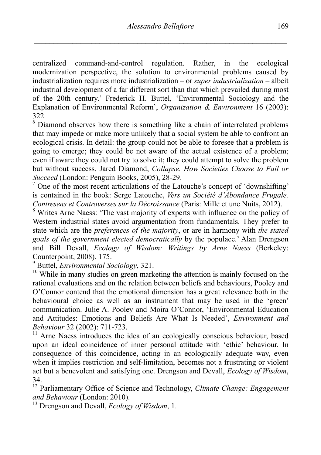centralized command-and-control regulation. Rather, in the ecological modernization perspective, the solution to environmental problems caused by industrialization requires more industrialization – or *super industrialization* – albeit industrial development of a far different sort than that which prevailed during most of the 20th century.' Frederick H. Buttel, 'Environmental Sociology and the Explanation of Environmental Reform', *Organization & Environment* 16 (2003): 322.

<sup>6</sup> Diamond observes how there is something like a chain of interrelated problems that may impede or make more unlikely that a social system be able to confront an ecological crisis. In detail: the group could not be able to foresee that a problem is going to emerge; they could be not aware of the actual existence of a problem; even if aware they could not try to solve it; they could attempt to solve the problem but without success. Jared Diamond, *Collapse. How Societies Choose to Fail or Succeed* (London: Penguin Books, 2005), 28-29.

 $\frac{1}{2}$  One of the most recent articulations of the Latouche's concept of 'downshifting' is contained in the book: Serge Latouche, *Vers un Société d'Abondance Frugale. Contresens et Controverses sur la Décroissance* (Paris: Mille et une Nuits, 2012).

<sup>8</sup> Writes Arne Naess: 'The vast majority of experts with influence on the policy of Western industrial states avoid argumentation from fundamentals. They prefer to state which are the *preferences of the majority*, or are in harmony with *the stated goals of the government elected democratically* by the populace.' Alan Drengson and Bill Devall, *Ecology of Wisdom: Writings by Arne Naess* (Berkeley: Counterpoint, 2008), 175.

<sup>9</sup> Buttel, *Environmental Sociology*, 321.

<sup>10</sup> While in many studies on green marketing the attention is mainly focused on the rational evaluations and on the relation between beliefs and behaviours, Pooley and O'Connor contend that the emotional dimension has a great relevance both in the behavioural choice as well as an instrument that may be used in the 'green' communication. Julie A. Pooley and Moira O'Connor, 'Environmental Education and Attitudes: Emotions and Beliefs Are What Is Needed', *Environment and Behaviour* 32 (2002): 711-723.<br><sup>11</sup> Arne Naess introduces the idea of an ecologically conscious behaviour, based

upon an ideal coincidence of inner personal attitude with 'ethic' behaviour. In consequence of this coincidence, acting in an ecologically adequate way, even when it implies restriction and self-limitation, becomes not a frustrating or violent act but a benevolent and satisfying one. Drengson and Devall, *Ecology of Wisdom*, 34.

12 Parliamentary Office of Science and Technology, *Climate Change: Engagement and Behaviour* (London: 2010). 13 Drengson and Devall, *Ecology of Wisdom*, 1.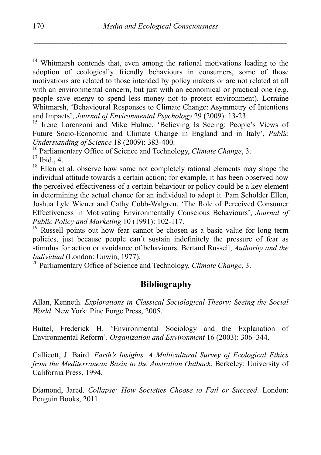$14$  Whitmarsh contends that, even among the rational motivations leading to the adoption of ecologically friendly behaviours in consumers, some of those motivations are related to those intended by policy makers or are not related at all with an environmental concern, but just with an economical or practical one (e.g. people save energy to spend less money not to protect environment). Lorraine Whitmarsh, 'Behavioural Responses to Climate Change: Asymmetry of Intentions

and Impacts', *Journal of Environmental Psychology* 29 (2009): 13-23. 15 Irene Lorenzoni and Mike Hulme, 'Believing Is Seeing: People's Views of Future Socio-Economic and Climate Change in England and in Italy', *Public* 

*Understanding of Science* 18 (2009): 383-400.<br><sup>16</sup> Parliamentary Office of Science and Technology, *Climate Change*, 3.<br><sup>17</sup> Ibid., 4.

<sup>18</sup> Ellen et al. observe how some not completely rational elements may shape the individual attitude towards a certain action; for example, it has been observed how the perceived effectiveness of a certain behaviour or policy could be a key element in determining the actual chance for an individual to adopt it. Pam Scholder Ellen, Joshua Lyle Wiener and Cathy Cobb-Walgren, 'The Role of Perceived Consumer Effectiveness in Motivating Environmentally Conscious Behaviours', *Journal of Public Policy and Marketing* 10 (1991): 102-117.<br><sup>19</sup> Russell points out how fear cannot be chosen as a basic value for long term

policies, just because people can't sustain indefinitely the pressure of fear as stimulus for action or avoidance of behaviours. Bertand Russell, *Authority and the Individual* (London: Unwin, 1977).<br><sup>20</sup> Parliamentary Office of Science and Technology, *Climate Change*, 3.

## **Bibliography**

Allan, Kenneth. *Explorations in Classical Sociological Theory: Seeing the Social World*. New York: Pine Forge Press, 2005.

Buttel, Frederick H. 'Environmental Sociology and the Explanation of Environmental Reform'. *Organization and Environment* 16 (2003): 306–344.

Callicott, J. Baird. *Earth's Insights. A Multicultural Survey of Ecological Ethics from the Mediterranean Basin to the Australian Outback*. Berkeley: University of California Press, 1994.

Diamond, Jared. *Collapse: How Societies Choose to Fail or Succeed*. London: Penguin Books, 2011.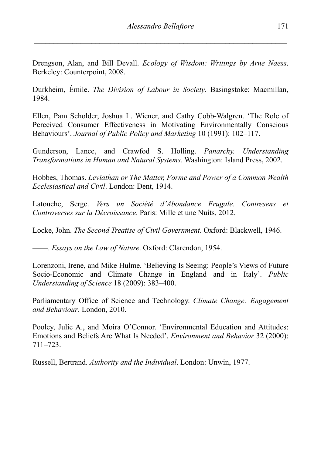Drengson, Alan, and Bill Devall. *Ecology of Wisdom: Writings by Arne Naess*. Berkeley: Counterpoint, 2008.

Durkheim, Émile. *The Division of Labour in Society*. Basingstoke: Macmillan, 1984.

Ellen, Pam Scholder, Joshua L. Wiener, and Cathy Cobb-Walgren. 'The Role of Perceived Consumer Effectiveness in Motivating Environmentally Conscious Behaviours'. *Journal of Public Policy and Marketing* 10 (1991): 102–117.

Gunderson, Lance, and Crawfod S. Holling. *Panarchy. Understanding Transformations in Human and Natural Systems*. Washington: Island Press, 2002.

Hobbes, Thomas. *Leviathan or The Matter, Forme and Power of a Common Wealth Ecclesiastical and Civil*. London: Dent, 1914.

Latouche, Serge. *Vers un Société d'Abondance Frugale. Contresens et Controverses sur la Décroissance*. Paris: Mille et une Nuits, 2012.

Locke, John. *The Second Treatise of Civil Government*. Oxford: Blackwell, 1946.

—––. *Essays on the Law of Nature*. Oxford: Clarendon, 1954.

Lorenzoni, Irene, and Mike Hulme. 'Believing Is Seeing: People's Views of Future Socio-Economic and Climate Change in England and in Italy'. *Public Understanding of Science* 18 (2009): 383–400.

Parliamentary Office of Science and Technology. *Climate Change: Engagement and Behaviour*. London, 2010.

Pooley, Julie A., and Moira O'Connor. 'Environmental Education and Attitudes: Emotions and Beliefs Are What Is Needed'. *Environment and Behavior* 32 (2000): 711–723.

Russell, Bertrand. *Authority and the Individual*. London: Unwin, 1977.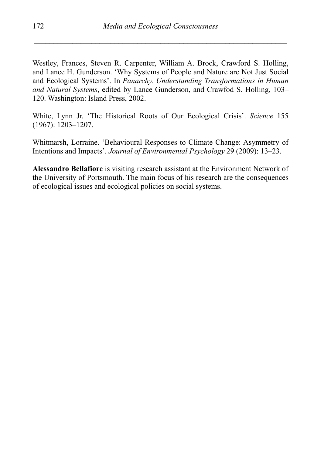Westley, Frances, Steven R. Carpenter, William A. Brock, Crawford S. Holling, and Lance H. Gunderson. 'Why Systems of People and Nature are Not Just Social and Ecological Systems'. In *Panarchy. Understanding Transformations in Human and Natural Systems*, edited by Lance Gunderson, and Crawfod S. Holling, 103– 120. Washington: Island Press, 2002.

White, Lynn Jr. 'The Historical Roots of Our Ecological Crisis'. *Science* 155 (1967): 1203–1207.

Whitmarsh, Lorraine. 'Behavioural Responses to Climate Change: Asymmetry of Intentions and Impacts'. *Journal of Environmental Psychology* 29 (2009): 13–23.

**Alessandro Bellafiore** is visiting research assistant at the Environment Network of the University of Portsmouth. The main focus of his research are the consequences of ecological issues and ecological policies on social systems.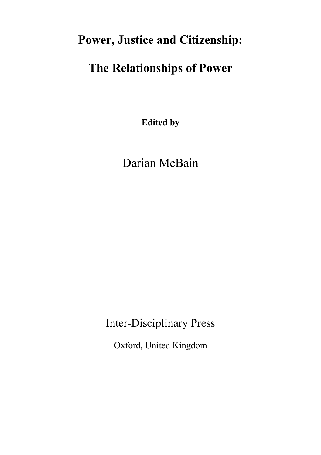## **Power, Justice and Citizenship:**

# **The Relationships of Power**

**Edited by** 

Darian McBain

Inter-Disciplinary Press

Oxford, United Kingdom